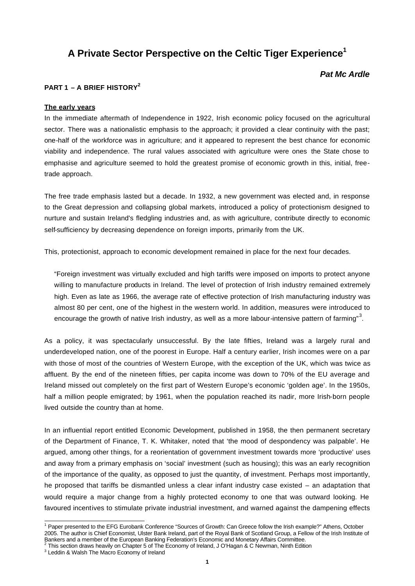# **A Private Sector Perspective on the Celtic Tiger Experience<sup>1</sup>**

# *Pat Mc Ardle*

# **PART 1 – A BRIEF HISTORY<sup>2</sup>**

#### **The early years**

In the immediate aftermath of Independence in 1922, Irish economic policy focused on the agricultural sector. There was a nationalistic emphasis to the approach; it provided a clear continuity with the past; one-half of the workforce was in agriculture; and it appeared to represent the best chance for economic viability and independence. The rural values associated with agriculture were ones the State chose to emphasise and agriculture seemed to hold the greatest promise of economic growth in this, initial, freetrade approach.

The free trade emphasis lasted but a decade. In 1932, a new government was elected and, in response to the Great depression and collapsing global markets, introduced a policy of protectionism designed to nurture and sustain Ireland's fledgling industries and, as with agriculture, contribute directly to economic self-sufficiency by decreasing dependence on foreign imports, primarily from the UK.

This, protectionist, approach to economic development remained in place for the next four decades.

"Foreign investment was virtually excluded and high tariffs were imposed on imports to protect anyone willing to manufacture products in Ireland. The level of protection of Irish industry remained extremely high. Even as late as 1966, the average rate of effective protection of Irish manufacturing industry was almost 80 per cent, one of the highest in the western world. In addition, measures were introduced to encourage the growth of native Irish industry, as well as a more labour-intensive pattern of farming"<sup>3</sup>.

As a policy, it was spectacularly unsuccessful. By the late fifties, Ireland was a largely rural and underdeveloped nation, one of the poorest in Europe. Half a century earlier, Irish incomes were on a par with those of most of the countries of Western Europe, with the exception of the UK, which was twice as affluent. By the end of the nineteen fifties, per capita income was down to 70% of the EU average and Ireland missed out completely on the first part of Western Europe's economic 'golden age'. In the 1950s, half a million people emigrated; by 1961, when the population reached its nadir, more Irish-born people lived outside the country than at home.

In an influential report entitled Economic Development, published in 1958, the then permanent secretary of the Department of Finance, T. K. Whitaker, noted that 'the mood of despondency was palpable'. He argued, among other things, for a reorientation of government investment towards more 'productive' uses and away from a primary emphasis on 'social' investment (such as housing); this was an early recognition of the importance of the quality, as opposed to just the quantity, of investment. Perhaps most importantly, he proposed that tariffs be dismantled unless a clear infant industry case existed – an adaptation that would require a major change from a highly protected economy to one that was outward looking. He favoured incentives to stimulate private industrial investment, and warned against the dampening effects

 1 Paper presented to the EFG Eurobank Conference "Sources of Growth: Can Greece follow the Irish example?" Athens, October 2005. The author is Chief Economist, Ulster Bank Ireland, part of the Royal Bank of Scotland Group, a Fellow of the Irish Institute of Bankers and a member of the European Banking Federation's Economic and Monetary Affairs Committee.<br><sup>2</sup> This section draws heavily on Chapter 5 of The Economy of Ireland, J O'Hagan & C Newman, Ninth Edition

<sup>&</sup>lt;sup>3</sup> Leddin & Walsh The Macro Economy of Ireland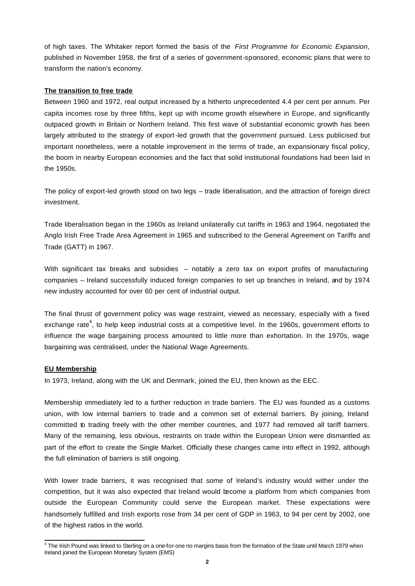of high taxes. The Whitaker report formed the basis of the *First Programme for Economic Expansion*, published in November 1958, the first of a series of government-sponsored, economic plans that were to transform the nation's economy.

# **The transition to free trade**

Between 1960 and 1972, real output increased by a hitherto unprecedented 4.4 per cent per annum. Per capita incomes rose by three fifths, kept up with income growth elsewhere in Europe, and significantly outpaced growth in Britain or Northern Ireland. This first wave of substantial economic growth has been largely attributed to the strategy of export-led growth that the government pursued. Less publicised but important nonetheless, were a notable improvement in the terms of trade, an expansionary fiscal policy, the boom in nearby European economies and the fact that solid institutional foundations had been laid in the 1950s.

The policy of export-led growth stood on two legs – trade liberalisation, and the attraction of foreign direct investment.

Trade liberalisation began in the 1960s as Ireland unilaterally cut tariffs in 1963 and 1964, negotiated the Anglo Irish Free Trade Area Agreement in 1965 and subscribed to the General Agreement on Tariffs and Trade (GATT) in 1967.

With significant tax breaks and subsidies – notably a zero tax on export profits of manufacturing companies – Ireland successfully induced foreign companies to set up branches in Ireland, and by 1974 new industry accounted for over 60 per cent of industrial output.

The final thrust of government policy was wage restraint, viewed as necessary, especially with a fixed exchange rate<sup>4</sup>, to help keep industrial costs at a competitive level. In the 1960s, government efforts to influence the wage bargaining process amounted to little more than exhortation. In the 1970s, wage bargaining was centralised, under the National Wage Agreements.

## **EU Membership**

In 1973, Ireland, along with the UK and Denmark, joined the EU, then known as the EEC.

Membership immediately led to a further reduction in trade barriers. The EU was founded as a customs union, with low internal barriers to trade and a common set of external barriers. By joining, Ireland committed to trading freely with the other member countries, and 1977 had removed all tariff barriers. Many of the remaining, less obvious, restraints on trade within the European Union were dismantled as part of the effort to create the Single Market. Officially these changes came into effect in 1992, although the full elimination of barriers is still ongoing.

With lower trade barriers, it was recognised that some of Ireland's industry would wither under the competition, but it was also expected that Ireland would become a platform from which companies from outside the European Community could serve the European market. These expectations were handsomely fulfilled and Irish exports rose from 34 per cent of GDP in 1963, to 94 per cent by 2002, one of the highest ratios in the world.

 4 The Irish Pound was linked to Sterling on a one-for-one no margins basis from the formation of the State until March 1979 when Ireland joined the European Monetary System (EMS)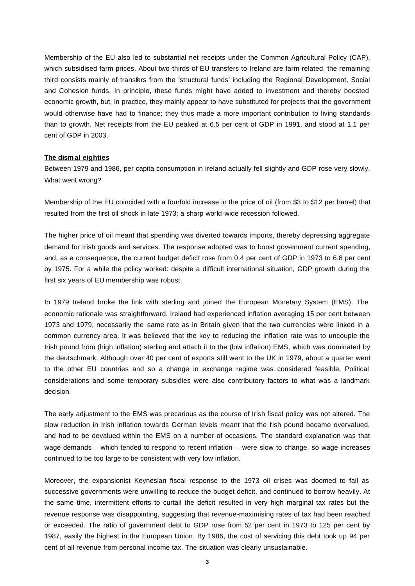Membership of the EU also led to substantial net receipts under the Common Agricultural Policy (CAP), which subsidised farm prices. About two-thirds of EU transfers to Ireland are farm related, the remaining third consists mainly of transfers from the 'structural funds' including the Regional Development, Social and Cohesion funds. In principle, these funds might have added to investment and thereby boosted economic growth, but, in practice, they mainly appear to have substituted for projects that the government would otherwise have had to finance; they thus made a more important contribution to living standards than to growth. Net receipts from the EU peaked at 6.5 per cent of GDP in 1991, and stood at 1.1 per cent of GDP in 2003.

#### **The dismal eighties**

Between 1979 and 1986, per capita consumption in Ireland actually fell slightly and GDP rose very slowly. What went wrong?

Membership of the EU coincided with a fourfold increase in the price of oil (from \$3 to \$12 per barrel) that resulted from the first oil shock in late 1973; a sharp world-wide recession followed.

The higher price of oil meant that spending was diverted towards imports, thereby depressing aggregate demand for Irish goods and services. The response adopted was to boost government current spending, and, as a consequence, the current budget deficit rose from 0.4 per cent of GDP in 1973 to 6.8 per cent by 1975. For a while the policy worked: despite a difficult international situation, GDP growth during the first six years of EU membership was robust.

In 1979 Ireland broke the link with sterling and joined the European Monetary System (EMS). The economic rationale was straightforward. Ireland had experienced inflation averaging 15 per cent between 1973 and 1979, necessarily the same rate as in Britain given that the two currencies were linked in a common currency area. It was believed that the key to reducing the inflation rate was to uncouple the Irish pound from (high inflation) sterling and attach it to the (low inflation) EMS, which was dominated by the deutschmark. Although over 40 per cent of exports still went to the UK in 1979, about a quarter went to the other EU countries and so a change in exchange regime was considered feasible. Political considerations and some temporary subsidies were also contributory factors to what was a landmark decision.

The early adjustment to the EMS was precarious as the course of Irish fiscal policy was not altered. The slow reduction in Irish inflation towards German levels meant that the rish pound became overvalued, and had to be devalued within the EMS on a number of occasions. The standard explanation was that wage demands – which tended to respond to recent inflation – were slow to change, so wage increases continued to be too large to be consistent with very low inflation.

Moreover, the expansionist Keynesian fiscal response to the 1973 oil crises was doomed to fail as successive governments were unwilling to reduce the budget deficit, and continued to borrow heavily. At the same time, intermittent efforts to curtail the deficit resulted in very high marginal tax rates but the revenue response was disappointing, suggesting that revenue-maximising rates of tax had been reached or exceeded. The ratio of government debt to GDP rose from 52 per cent in 1973 to 125 per cent by 1987, easily the highest in the European Union. By 1986, the cost of servicing this debt took up 94 per cent of all revenue from personal income tax. The situation was clearly unsustainable.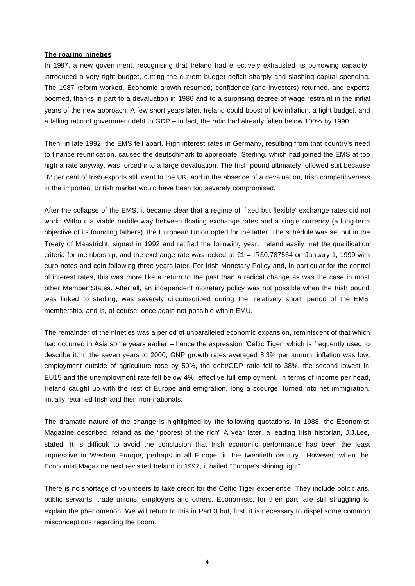#### **The roaring nineties**

In 1987, a new government, recognising that Ireland had effectively exhausted its borrowing capacity, introduced a very tight budget, cutting the current budget deficit sharply and slashing capital spending. The 1987 reform worked. Economic growth resumed; confidence (and investors) returned, and exports boomed, thanks in part to a devaluation in 1986 and to a surprising degree of wage restraint in the initial years of the new approach. A few short years later, Ireland could boost of low inflation, a tight budget, and a falling ratio of government debt to GDP – in fact, the ratio had already fallen below 100% by 1990.

Then, in late 1992, the EMS fell apart. High interest rates in Germany, resulting from that country's need to finance reunification, caused the deutschmark to appreciate. Sterling, which had joined the EMS at too high a rate anyway, was forced into a large devaluation. The Irish pound ultimately followed suit because 32 per cent of Irish exports still went to the UK, and in the absence of a devaluation, Irish competitiveness in the important British market would have been too severely compromised.

After the collapse of the EMS, it became clear that a regime of 'fixed but flexible' exchange rates did not work. Without a viable middle way between floating exchange rates and a single currency (a long-term objective of its founding fathers), the European Union opted for the latter. The schedule was set out in the Treaty of Maastricht, signed in 1992 and ratified the following year. Ireland easily met the qualification criteria for membership, and the exchange rate was locked at  $\epsilon$ 1 = IR£0.787564 on January 1, 1999 with euro notes and coin following three years later. For Irish Monetary Policy and, in particular for the control of interest rates, this was more like a return to the past than a radical change as was the case in most other Member States. After all, an independent monetary policy was not possible when the Irish pound was linked to sterling, was severely circumscribed during the, relatively short, period of the EMS membership, and is, of course, once again not possible within EMU.

The remainder of the nineties was a period of unparalleled economic expansion, reminiscent of that which had occurred in Asia some years earlier – hence the expression "Celtic Tiger" which is frequently used to describe it. In the seven years to 2000, GNP growth rates averaged 8.3% per annum, inflation was low, employment outside of agriculture rose by 50%, the debt/GDP ratio fell to 38%, the second lowest in EU15 and the unemployment rate fell below 4%, effective full employment. In terms of income per head, Ireland caught up with the rest of Europe and emigration, long a scourge, turned into net immigration, initially returned Irish and then non-nationals.

The dramatic nature of the change is highlighted by the following quotations. In 1988, the Economist Magazine described Ireland as the "poorest of the rich" A year later, a leading Irish historian, J.J.Lee, stated "It is difficult to avoid the conclusion that Irish economic performance has been the least impressive in Western Europe, perhaps in all Europe, in the twentieth century." However, when the Economist Magazine next revisited Ireland in 1997, it hailed "Europe's shining light".

There is no shortage of volunteers to take credit for the Celtic Tiger experience. They include politicians, public servants, trade unions, employers and others. Economists, for their part, are still struggling to explain the phenomenon. We will return to this in Part 3 but, first, it is necessary to dispel some common misconceptions regarding the boom.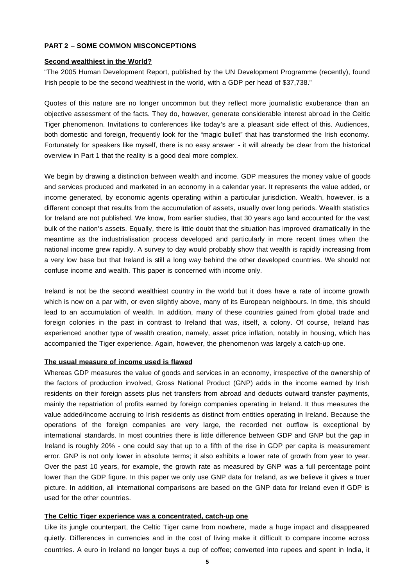# **PART 2 – SOME COMMON MISCONCEPTIONS**

#### **Second wealthiest in the World?**

"The 2005 Human Development Report, published by the UN Development Programme (recently), found Irish people to be the second wealthiest in the world, with a GDP per head of \$37,738."

Quotes of this nature are no longer uncommon but they reflect more journalistic exuberance than an objective assessment of the facts. They do, however, generate considerable interest abroad in the Celtic Tiger phenomenon. Invitations to conferences like today's are a pleasant side effect of this. Audiences, both domestic and foreign, frequently look for the "magic bullet" that has transformed the Irish economy. Fortunately for speakers like myself, there is no easy answer - it will already be clear from the historical overview in Part 1 that the reality is a good deal more complex.

We begin by drawing a distinction between wealth and income. GDP measures the money value of goods and services produced and marketed in an economy in a calendar year. It represents the value added, or income generated, by economic agents operating within a particular jurisdiction. Wealth, however, is a different concept that results from the accumulation of assets, usually over long periods. Wealth statistics for Ireland are not published. We know, from earlier studies, that 30 years ago land accounted for the vast bulk of the nation's assets. Equally, there is little doubt that the situation has improved dramatically in the meantime as the industrialisation process developed and particularly in more recent times when the national income grew rapidly. A survey to day would probably show that wealth is rapidly increasing from a very low base but that Ireland is still a long way behind the other developed countries. We should not confuse income and wealth. This paper is concerned with income only.

Ireland is not be the second wealthiest country in the world but it does have a rate of income growth which is now on a par with, or even slightly above, many of its European neighbours. In time, this should lead to an accumulation of wealth. In addition, many of these countries gained from global trade and foreign colonies in the past in contrast to Ireland that was, itself, a colony. Of course, Ireland has experienced another type of wealth creation, namely, asset price inflation, notably in housing, which has accompanied the Tiger experience. Again, however, the phenomenon was largely a catch-up one.

#### **The usual measure of income used is flawed**

Whereas GDP measures the value of goods and services in an economy, irrespective of the ownership of the factors of production involved, Gross National Product (GNP) adds in the income earned by Irish residents on their foreign assets plus net transfers from abroad and deducts outward transfer payments, mainly the repatriation of profits earned by foreign companies operating in Ireland. It thus measures the value added/income accruing to Irish residents as distinct from entities operating in Ireland. Because the operations of the foreign companies are very large, the recorded net outflow is exceptional by international standards. In most countries there is little difference between GDP and GNP but the gap in Ireland is roughly 20% - one could say that up to a fifth of the rise in GDP per capita is measurement error. GNP is not only lower in absolute terms; it also exhibits a lower rate of growth from year to year. Over the past 10 years, for example, the growth rate as measured by GNP was a full percentage point lower than the GDP figure. In this paper we only use GNP data for Ireland, as we believe it gives a truer picture. In addition, all international comparisons are based on the GNP data for Ireland even if GDP is used for the other countries.

# **The Celtic Tiger experience was a concentrated, catch-up one**

Like its jungle counterpart, the Celtic Tiger came from nowhere, made a huge impact and disappeared quietly. Differences in currencies and in the cost of living make it difficult to compare income across countries. A euro in Ireland no longer buys a cup of coffee; converted into rupees and spent in India, it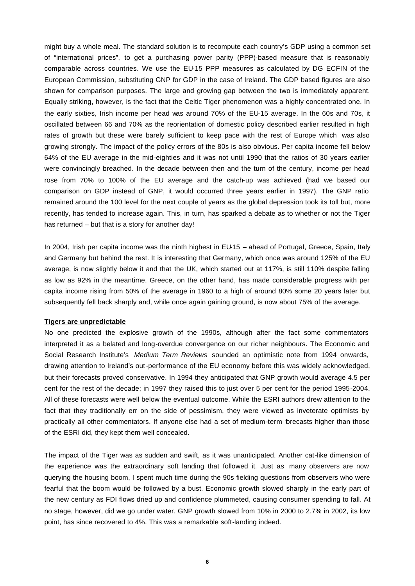might buy a whole meal. The standard solution is to recompute each country's GDP using a common set of "international prices", to get a purchasing power parity (PPP)-based measure that is reasonably comparable across countries. We use the EU-15 PPP measures as calculated by DG ECFIN of the European Commission, substituting GNP for GDP in the case of Ireland. The GDP based figures are also shown for comparison purposes. The large and growing gap between the two is immediately apparent. Equally striking, however, is the fact that the Celtic Tiger phenomenon was a highly concentrated one. In the early sixties, Irish income per head was around 70% of the EU-15 average. In the 60s and 70s, it oscillated between 66 and 70% as the reorientation of domestic policy described earlier resulted in high rates of growth but these were barely sufficient to keep pace with the rest of Europe which was also growing strongly. The impact of the policy errors of the 80s is also obvious. Per capita income fell below 64% of the EU average in the mid-eighties and it was not until 1990 that the ratios of 30 years earlier were convincingly breached. In the decade between then and the turn of the century, income per head rose from 70% to 100% of the EU average and the catch-up was achieved (had we based our comparison on GDP instead of GNP, it would occurred three years earlier in 1997). The GNP ratio remained around the 100 level for the next couple of years as the global depression took its toll but, more recently, has tended to increase again. This, in turn, has sparked a debate as to whether or not the Tiger has returned – but that is a story for another day!

In 2004, Irish per capita income was the ninth highest in EU-15 - ahead of Portugal, Greece, Spain, Italy and Germany but behind the rest. It is interesting that Germany, which once was around 125% of the EU average, is now slightly below it and that the UK, which started out at 117%, is still 110% despite falling as low as 92% in the meantime. Greece, on the other hand, has made considerable progress with per capita income rising from 50% of the average in 1960 to a high of around 80% some 20 years later but subsequently fell back sharply and, while once again gaining ground, is now about 75% of the average.

#### **Tigers are unpredictable**

No one predicted the explosive growth of the 1990s, although after the fact some commentators interpreted it as a belated and long-overdue convergence on our richer neighbours. The Economic and Social Research Institute's *Medium Term Reviews* sounded an optimistic note from 1994 onwards, drawing attention to Ireland's out-performance of the EU economy before this was widely acknowledged, but their forecasts proved conservative. In 1994 they anticipated that GNP growth would average 4.5 per cent for the rest of the decade; in 1997 they raised this to just over 5 per cent for the period 1995-2004. All of these forecasts were well below the eventual outcome. While the ESRI authors drew attention to the fact that they traditionally err on the side of pessimism, they were viewed as inveterate optimists by practically all other commentators. If anyone else had a set of medium-term forecasts higher than those of the ESRI did, they kept them well concealed.

The impact of the Tiger was as sudden and swift, as it was unanticipated. Another cat-like dimension of the experience was the extraordinary soft landing that followed it. Just as many observers are now querying the housing boom, I spent much time during the 90s fielding questions from observers who were fearful that the boom would be followed by a bust. Economic growth slowed sharply in the early part of the new century as FDI flows dried up and confidence plummeted, causing consumer spending to fall. At no stage, however, did we go under water. GNP growth slowed from 10% in 2000 to 2.7% in 2002, its low point, has since recovered to 4%. This was a remarkable soft-landing indeed.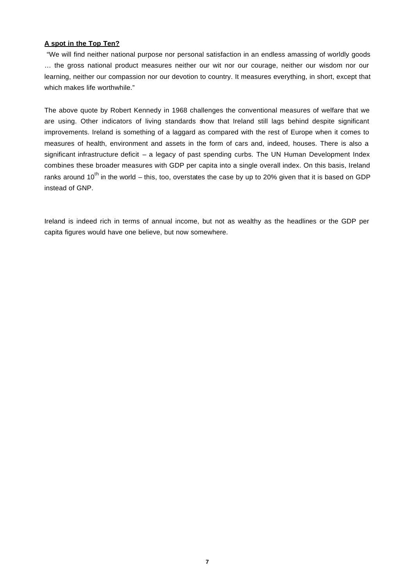# **A spot in the Top Ten?**

 "We will find neither national purpose nor personal satisfaction in an endless amassing of worldly goods … the gross national product measures neither our wit nor our courage, neither our wisdom nor our learning, neither our compassion nor our devotion to country. It measures everything, in short, except that which makes life worthwhile."

The above quote by Robert Kennedy in 1968 challenges the conventional measures of welfare that we are using. Other indicators of living standards show that Ireland still lags behind despite significant improvements. Ireland is something of a laggard as compared with the rest of Europe when it comes to measures of health, environment and assets in the form of cars and, indeed, houses. There is also a significant infrastructure deficit – a legacy of past spending curbs. The UN Human Development Index combines these broader measures with GDP per capita into a single overall index. On this basis, Ireland ranks around  $10^{th}$  in the world – this, too, overstates the case by up to 20% given that it is based on GDP instead of GNP.

Ireland is indeed rich in terms of annual income, but not as wealthy as the headlines or the GDP per capita figures would have one believe, but now somewhere.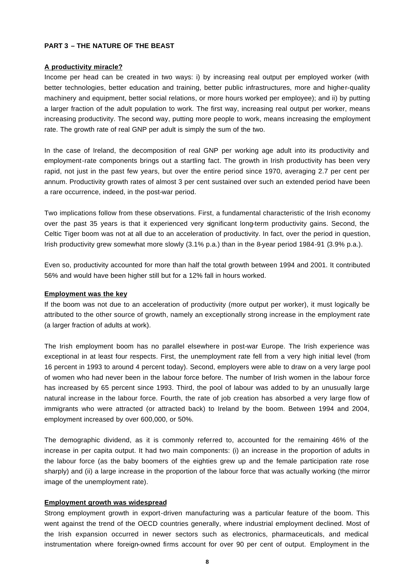# **PART 3 – THE NATURE OF THE BEAST**

#### **A productivity miracle?**

Income per head can be created in two ways: i) by increasing real output per employed worker (with better technologies, better education and training, better public infrastructures, more and higher-quality machinery and equipment, better social relations, or more hours worked per employee); and ii) by putting a larger fraction of the adult population to work. The first way, increasing real output per worker, means increasing productivity. The second way, putting more people to work, means increasing the employment rate. The growth rate of real GNP per adult is simply the sum of the two.

In the case of Ireland, the decomposition of real GNP per working age adult into its productivity and employment-rate components brings out a startling fact. The growth in Irish productivity has been very rapid, not just in the past few years, but over the entire period since 1970, averaging 2.7 per cent per annum. Productivity growth rates of almost 3 per cent sustained over such an extended period have been a rare occurrence, indeed, in the post-war period.

Two implications follow from these observations. First, a fundamental characteristic of the Irish economy over the past 35 years is that it experienced very significant long-term productivity gains. Second, the Celtic Tiger boom was not at all due to an acceleration of productivity. In fact, over the period in question, Irish productivity grew somewhat more slowly (3.1% p.a.) than in the 8-year period 1984-91 (3.9% p.a.).

Even so, productivity accounted for more than half the total growth between 1994 and 2001. It contributed 56% and would have been higher still but for a 12% fall in hours worked.

#### **Employment was the key**

If the boom was not due to an acceleration of productivity (more output per worker), it must logically be attributed to the other source of growth, namely an exceptionally strong increase in the employment rate (a larger fraction of adults at work).

The Irish employment boom has no parallel elsewhere in post-war Europe. The Irish experience was exceptional in at least four respects. First, the unemployment rate fell from a very high initial level (from 16 percent in 1993 to around 4 percent today). Second, employers were able to draw on a very large pool of women who had never been in the labour force before. The number of Irish women in the labour force has increased by 65 percent since 1993. Third, the pool of labour was added to by an unusually large natural increase in the labour force. Fourth, the rate of job creation has absorbed a very large flow of immigrants who were attracted (or attracted back) to Ireland by the boom. Between 1994 and 2004, employment increased by over 600,000, or 50%.

The demographic dividend, as it is commonly referred to, accounted for the remaining 46% of the increase in per capita output. It had two main components: (i) an increase in the proportion of adults in the labour force (as the baby boomers of the eighties grew up and the female participation rate rose sharply) and (ii) a large increase in the proportion of the labour force that was actually working (the mirror image of the unemployment rate).

# **Employment growth was widespread**

Strong employment growth in export-driven manufacturing was a particular feature of the boom. This went against the trend of the OECD countries generally, where industrial employment declined. Most of the Irish expansion occurred in newer sectors such as electronics, pharmaceuticals, and medical instrumentation where foreign-owned firms account for over 90 per cent of output. Employment in the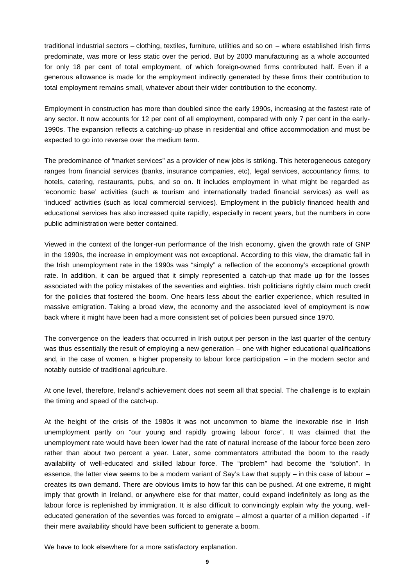traditional industrial sectors – clothing, textiles, furniture, utilities and so on – where established Irish firms predominate, was more or less static over the period. But by 2000 manufacturing as a whole accounted for only 18 per cent of total employment, of which foreign-owned firms contributed half. Even if a generous allowance is made for the employment indirectly generated by these firms their contribution to total employment remains small, whatever about their wider contribution to the economy.

Employment in construction has more than doubled since the early 1990s, increasing at the fastest rate of any sector. It now accounts for 12 per cent of all employment, compared with only 7 per cent in the early-1990s. The expansion reflects a catching-up phase in residential and office accommodation and must be expected to go into reverse over the medium term.

The predominance of "market services" as a provider of new jobs is striking. This heterogeneous category ranges from financial services (banks, insurance companies, etc), legal services, accountancy firms, to hotels, catering, restaurants, pubs, and so on. It includes employment in what might be regarded as 'economic base' activities (such as tourism and internationally traded financial services) as well as 'induced' activities (such as local commercial services). Employment in the publicly financed health and educational services has also increased quite rapidly, especially in recent years, but the numbers in core public administration were better contained.

Viewed in the context of the longer-run performance of the Irish economy, given the growth rate of GNP in the 1990s, the increase in employment was not exceptional. According to this view, the dramatic fall in the Irish unemployment rate in the 1990s was "simply" a reflection of the economy's exceptional growth rate. In addition, it can be argued that it simply represented a catch-up that made up for the losses associated with the policy mistakes of the seventies and eighties. Irish politicians rightly claim much credit for the policies that fostered the boom. One hears less about the earlier experience, which resulted in massive emigration. Taking a broad view, the economy and the associated level of employment is now back where it might have been had a more consistent set of policies been pursued since 1970.

The convergence on the leaders that occurred in Irish output per person in the last quarter of the century was thus essentially the result of employing a new generation – one with higher educational qualifications and, in the case of women, a higher propensity to labour force participation – in the modern sector and notably outside of traditional agriculture.

At one level, therefore, Ireland's achievement does not seem all that special. The challenge is to explain the timing and speed of the catch-up.

At the height of the crisis of the 1980s it was not uncommon to blame the inexorable rise in Irish unemployment partly on "our young and rapidly growing labour force". It was claimed that the unemployment rate would have been lower had the rate of natural increase of the labour force been zero rather than about two percent a year. Later, some commentators attributed the boom to the ready availability of well-educated and skilled labour force. The "problem" had become the "solution". In essence, the latter view seems to be a modern variant of Say's Law that supply – in this case of labour – creates its own demand. There are obvious limits to how far this can be pushed. At one extreme, it might imply that growth in Ireland, or anywhere else for that matter, could expand indefinitely as long as the labour force is replenished by immigration. It is also difficult to convincingly explain why the young, welleducated generation of the seventies was forced to emigrate – almost a quarter of a million departed - if their mere availability should have been sufficient to generate a boom.

We have to look elsewhere for a more satisfactory explanation.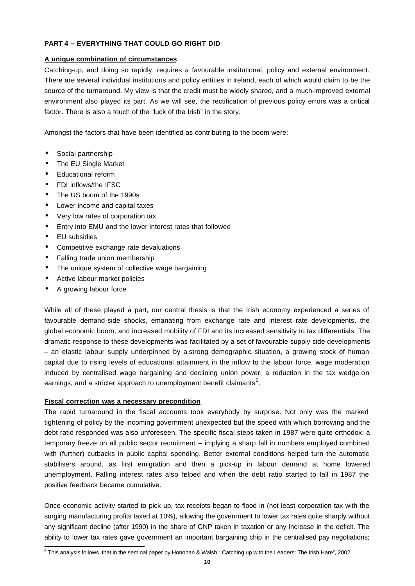# **PART 4 – EVERYTHING THAT COULD GO RIGHT DID**

# **A unique combination of circumstances**

Catching-up, and doing so rapidly, requires a favourable institutional, policy and external environment. There are several individual institutions and policy entities in Ireland, each of which would claim to be the source of the turnaround. My view is that the credit must be widely shared, and a much-improved external environment also played its part. As we will see, the rectification of previous policy errors was a critical factor. There is also a touch of the "luck of the Irish" in the story.

Amongst the factors that have been identified as contributing to the boom were:

- Social partnership
- The EU Single Market
- Educational reform
- FDI inflows/the IFSC
- The US boom of the 1990s
- Lower income and capital taxes
- Very low rates of corporation tax
- Entry into EMU and the lower interest rates that followed
- EU subsidies
- Competitive exchange rate devaluations
- Falling trade union membership
- The unique system of collective wage bargaining
- Active labour market policies
- A growing labour force

While all of these played a part, our central thesis is that the Irish economy experienced a series of favourable demand-side shocks, emanating from exchange rate and interest rate developments, the global economic boom, and increased mobility of FDI and its increased sensitivity to tax differentials. The dramatic response to these developments was facilitated by a set of favourable supply side developments – an elastic labour supply underpinned by a strong demographic situation, a growing stock of human capital due to rising levels of educational attainment in the inflow to the labour force, wage moderation induced by centralised wage bargaining and declining union power, a reduction in the tax wedge on earnings, and a stricter approach to unemployment benefit claimants<sup>5</sup>.

# **Fiscal correction was a necessary precondition**

The rapid turnaround in the fiscal accounts took everybody by surprise. Not only was the marked tightening of policy by the incoming government unexpected but the speed with which borrowing and the debt ratio responded was also unforeseen. The specific fiscal steps taken in 1987 were quite orthodox: a temporary freeze on all public sector recruitment – implying a sharp fall in numbers employed combined with (further) cutbacks in public capital spending. Better external conditions helped turn the automatic stabilisers around, as first emigration and then a pick-up in labour demand at home lowered unemployment. Falling interest rates also helped and when the debt ratio started to fall in 1987 the positive feedback became cumulative.

Once economic activity started to pick-up, tax receipts began to flood in (not least corporation tax with the surging manufacturing profits taxed at 10%), allowing the government to lower tax rates quite sharply without any significant decline (after 1990) in the share of GNP taken in taxation or any increase in the deficit. The ability to lower tax rates gave government an important bargaining chip in the centralised pay negotiations;

 5 This analysis follows that in the seminal paper by Honohan & Walsh " Catching up with the Leaders: The Irish Hare", 2002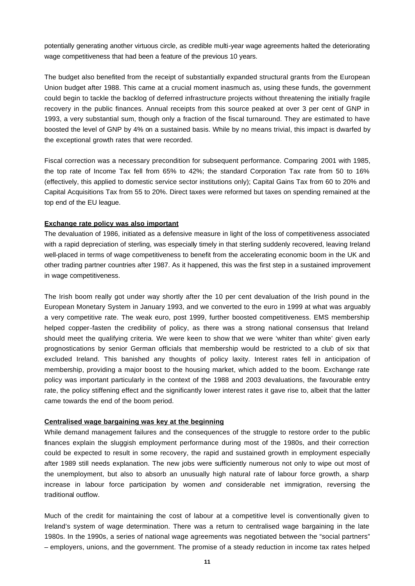potentially generating another virtuous circle, as credible multi-year wage agreements halted the deteriorating wage competitiveness that had been a feature of the previous 10 years.

The budget also benefited from the receipt of substantially expanded structural grants from the European Union budget after 1988. This came at a crucial moment inasmuch as, using these funds, the government could begin to tackle the backlog of deferred infrastructure projects without threatening the initially fragile recovery in the public finances. Annual receipts from this source peaked at over 3 per cent of GNP in 1993, a very substantial sum, though only a fraction of the fiscal turnaround. They are estimated to have boosted the level of GNP by 4% on a sustained basis. While by no means trivial, this impact is dwarfed by the exceptional growth rates that were recorded.

Fiscal correction was a necessary precondition for subsequent performance. Comparing 2001 with 1985, the top rate of Income Tax fell from 65% to 42%; the standard Corporation Tax rate from 50 to 16% (effectively, this applied to domestic service sector institutions only); Capital Gains Tax from 60 to 20% and Capital Acquisitions Tax from 55 to 20%. Direct taxes were reformed but taxes on spending remained at the top end of the EU league.

## **Exchange rate policy was also important**

The devaluation of 1986, initiated as a defensive measure in light of the loss of competitiveness associated with a rapid depreciation of sterling, was especially timely in that sterling suddenly recovered, leaving Ireland well-placed in terms of wage competitiveness to benefit from the accelerating economic boom in the UK and other trading partner countries after 1987. As it happened, this was the first step in a sustained improvement in wage competitiveness.

The Irish boom really got under way shortly after the 10 per cent devaluation of the Irish pound in the European Monetary System in January 1993, and we converted to the euro in 1999 at what was arguably a very competitive rate. The weak euro, post 1999, further boosted competitiveness. EMS membership helped copper-fasten the credibility of policy, as there was a strong national consensus that Ireland should meet the qualifying criteria. We were keen to show that we were 'whiter than white' given early prognostications by senior German officials that membership would be restricted to a club of six that excluded Ireland. This banished any thoughts of policy laxity. Interest rates fell in anticipation of membership, providing a major boost to the housing market, which added to the boom. Exchange rate policy was important particularly in the context of the 1988 and 2003 devaluations, the favourable entry rate, the policy stiffening effect and the significantly lower interest rates it gave rise to, albeit that the latter came towards the end of the boom period.

## **Centralised wage bargaining was key at the beginning**

While demand management failures and the consequences of the struggle to restore order to the public finances explain the sluggish employment performance during most of the 1980s, and their correction could be expected to result in some recovery, the rapid and sustained growth in employment especially after 1989 still needs explanation. The new jobs were sufficiently numerous not only to wipe out most of the unemployment, but also to absorb an unusually high natural rate of labour force growth, a sharp increase in labour force participation by women *and* considerable net immigration, reversing the traditional outflow.

Much of the credit for maintaining the cost of labour at a competitive level is conventionally given to Ireland's system of wage determination. There was a return to centralised wage bargaining in the late 1980s. In the 1990s, a series of national wage agreements was negotiated between the "social partners" – employers, unions, and the government. The promise of a steady reduction in income tax rates helped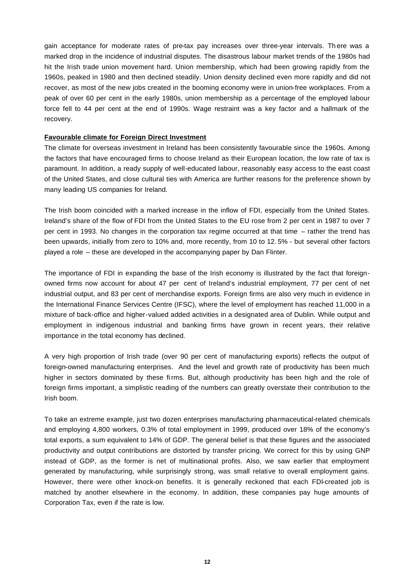gain acceptance for moderate rates of pre-tax pay increases over three-year intervals. Th ere was a marked drop in the incidence of industrial disputes. The disastrous labour market trends of the 1980s had hit the Irish trade union movement hard. Union membership, which had been growing rapidly from the 1960s, peaked in 1980 and then declined steadily. Union density declined even more rapidly and did not recover, as most of the new jobs created in the booming economy were in union-free workplaces. From a peak of over 60 per cent in the early 1980s, union membership as a percentage of the employed labour force fell to 44 per cent at the end of 1990s. Wage restraint was a key factor and a hallmark of the recovery.

## **Favourable climate for Foreign Direct Investment**

The climate for overseas investment in Ireland has been consistently favourable since the 1960s. Among the factors that have encouraged firms to choose Ireland as their European location, the low rate of tax is paramount. In addition, a ready supply of well-educated labour, reasonably easy access to the east coast of the United States, and close cultural ties with America are further reasons for the preference shown by many leading US companies for Ireland.

The Irish boom coincided with a marked increase in the inflow of FDI, especially from the United States. Ireland's share of the flow of FDI from the United States to the EU rose from 2 per cent in 1987 to over 7 per cent in 1993. No changes in the corporation tax regime occurred at that time – rather the trend has been upwards, initially from zero to 10% and, more recently, from 10 to 12. 5% - but several other factors played a role – these are developed in the accompanying paper by Dan Flinter.

The importance of FDI in expanding the base of the Irish economy is illustrated by the fact that foreignowned firms now account for about 47 per cent of Ireland's industrial employment, 77 per cent of net industrial output, and 83 per cent of merchandise exports. Foreign firms are also very much in evidence in the International Finance Services Centre (IFSC), where the level of employment has reached 11,000 in a mixture of back-office and higher-valued added activities in a designated area of Dublin. While output and employment in indigenous industrial and banking firms have grown in recent years, their relative importance in the total economy has declined.

A very high proportion of Irish trade (over 90 per cent of manufacturing exports) reflects the output of foreign-owned manufacturing enterprises. And the level and growth rate of productivity has been much higher in sectors dominated by these firms. But, although productivity has been high and the role of foreign firms important, a simplistic reading of the numbers can greatly overstate their contribution to the Irish boom.

To take an extreme example, just two dozen enterprises manufacturing pharmaceutical-related chemicals and employing 4,800 workers, 0.3% of total employment in 1999, produced over 18% of the economy's total exports, a sum equivalent to 14% of GDP. The general belief is that these figures and the associated productivity and output contributions are distorted by transfer pricing. We correct for this by using GNP instead of GDP, as the former is net of multinational profits. Also, we saw earlier that employment generated by manufacturing, while surprisingly strong, was small relative to overall employment gains. However, there were other knock-on benefits. It is generally reckoned that each FDI-created job is matched by another elsewhere in the economy. In addition, these companies pay huge amounts of Corporation Tax, even if the rate is low.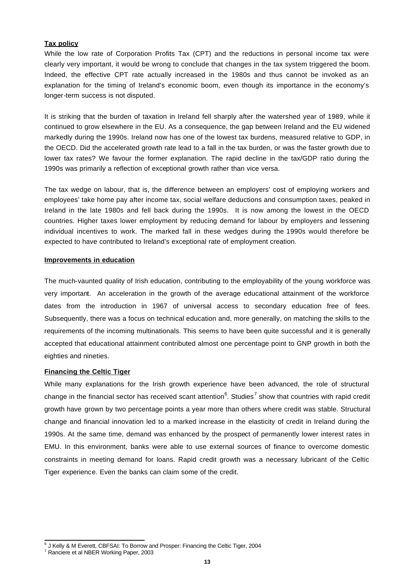# **Tax policy**

While the low rate of Corporation Profits Tax (CPT) and the reductions in personal income tax were clearly very important, it would be wrong to conclude that changes in the tax system triggered the boom. Indeed, the effective CPT rate actually increased in the 1980s and thus cannot be invoked as an explanation for the timing of Ireland's economic boom, even though its importance in the economy's longer-term success is not disputed.

It is striking that the burden of taxation in Ireland fell sharply after the watershed year of 1989, while it continued to grow elsewhere in the EU. As a consequence, the gap between Ireland and the EU widened markedly during the 1990s. Ireland now has one of the lowest tax burdens, measured relative to GDP, in the OECD. Did the accelerated growth rate lead to a fall in the tax burden, or was the faster growth due to lower tax rates? We favour the former explanation. The rapid decline in the tax/GDP ratio during the 1990s was primarily a reflection of exceptional growth rather than vice versa.

The tax wedge on labour, that is, the difference between an employers' cost of employing workers and employees' take home pay after income tax, social welfare deductions and consumption taxes, peaked in Ireland in the late 1980s and fell back during the 1990s. It is now among the lowest in the OECD countries. Higher taxes lower employment by reducing demand for labour by employers and lessening individual incentives to work. The marked fall in these wedges during the 1990s would therefore be expected to have contributed to Ireland's exceptional rate of employment creation.

#### **Improvements in education**

The much-vaunted quality of Irish education, contributing to the employability of the young workforce was very important. An acceleration in the growth of the average educational attainment of the workforce dates from the introduction in 1967 of universal access to secondary education free of fees. Subsequently, there was a focus on technical education and, more generally, on matching the skills to the requirements of the incoming multinationals. This seems to have been quite successful and it is generally accepted that educational attainment contributed almost one percentage point to GNP growth in both the eighties and nineties.

## **Financing the Celtic Tiger**

While many explanations for the Irish growth experience have been advanced, the role of structural change in the financial sector has received scant attention<sup>6</sup>. Studies<sup>7</sup> show that countries with rapid credit growth have grown by two percentage points a year more than others where credit was stable. Structural change and financial innovation led to a marked increase in the elasticity of credit in Ireland during the 1990s. At the same time, demand was enhanced by the prospect of permanently lower interest rates in EMU. In this environment, banks were able to use external sources of finance to overcome domestic constraints in meeting demand for loans. Rapid credit growth was a necessary lubricant of the Celtic Tiger experience. Even the banks can claim some of the credit.

 6 J Kelly & M Everett, CBFSAI: To Borrow and Prosper: Financing the Celtic Tiger, 2004

<sup>7</sup> Ranciere et al NBER Working Paper, 2003